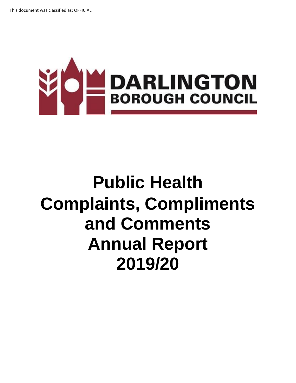

# **Public Health Complaints, Compliments and Comments Annual Report 2019/20**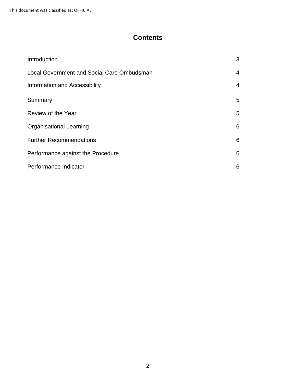This document was classified as: OFFICIAL

### **Contents**

| Introduction                                      | 3              |
|---------------------------------------------------|----------------|
| <b>Local Government and Social Care Ombudsman</b> | 4              |
| Information and Accessibility                     | $\overline{4}$ |
| Summary                                           | 5              |
| Review of the Year                                | 5              |
| <b>Organisational Learning</b>                    | 6              |
| <b>Further Recommendations</b>                    | 6              |
| Performance against the Procedure                 | 6              |
| Performance Indicator                             | 6              |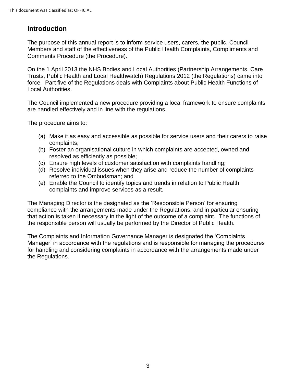# **Introduction**

The purpose of this annual report is to inform service users, carers, the public, Council Members and staff of the effectiveness of the Public Health Complaints, Compliments and Comments Procedure (the Procedure).

On the 1 April 2013 the NHS Bodies and Local Authorities (Partnership Arrangements, Care Trusts, Public Health and Local Healthwatch) Regulations 2012 (the Regulations) came into force. Part five of the Regulations deals with Complaints about Public Health Functions of Local Authorities.

The Council implemented a new procedure providing a local framework to ensure complaints are handled effectively and in line with the regulations.

The procedure aims to:

- (a) Make it as easy and accessible as possible for service users and their carers to raise complaints;
- (b) Foster an organisational culture in which complaints are accepted, owned and resolved as efficiently as possible;
- (c) Ensure high levels of customer satisfaction with complaints handling;
- (d) Resolve individual issues when they arise and reduce the number of complaints referred to the Ombudsman; and
- (e) Enable the Council to identify topics and trends in relation to Public Health complaints and improve services as a result.

The Managing Director is the designated as the 'Responsible Person' for ensuring compliance with the arrangements made under the Regulations, and in particular ensuring that action is taken if necessary in the light of the outcome of a complaint. The functions of the responsible person will usually be performed by the Director of Public Health.

The Complaints and Information Governance Manager is designated the 'Complaints Manager' in accordance with the regulations and is responsible for managing the procedures for handling and considering complaints in accordance with the arrangements made under the Regulations.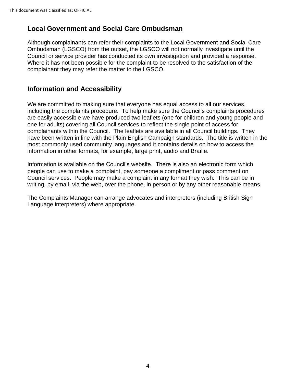## **Local Government and Social Care Ombudsman**

Although complainants can refer their complaints to the Local Government and Social Care Ombudsman (LGSCO) from the outset, the LGSCO will not normally investigate until the Council or service provider has conducted its own investigation and provided a response. Where it has not been possible for the complaint to be resolved to the satisfaction of the complainant they may refer the matter to the LGSCO.

#### **Information and Accessibility**

We are committed to making sure that everyone has equal access to all our services, including the complaints procedure. To help make sure the Council's complaints procedures are easily accessible we have produced two leaflets (one for children and young people and one for adults) covering all Council services to reflect the single point of access for complainants within the Council. The leaflets are available in all Council buildings. They have been written in line with the Plain English Campaign standards. The title is written in the most commonly used community languages and it contains details on how to access the information in other formats, for example, large print, audio and Braille.

Information is available on the Council's website. There is also an electronic form which people can use to make a complaint, pay someone a compliment or pass comment on Council services. People may make a complaint in any format they wish. This can be in writing, by email, via the web, over the phone, in person or by any other reasonable means.

The Complaints Manager can arrange advocates and interpreters (including British Sign Language interpreters) where appropriate.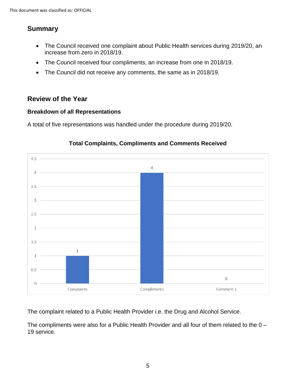# **Summary**

- The Council received one complaint about Public Health services during 2019/20, an increase from zero in 2018/19.
- The Council received four compliments, an increase from one in 2018/19.
- The Council did not receive any comments, the same as in 2018/19.

# **Review of the Year**

#### **Breakdown of all Representations**

A total of five representations was handled under the procedure during 2019/20.



#### **Total Complaints, Compliments and Comments Received**

The complaint related to a Public Health Provider i.e. the Drug and Alcohol Service.

The compliments were also for a Public Health Provider and all four of them related to the 0 – 19 service.